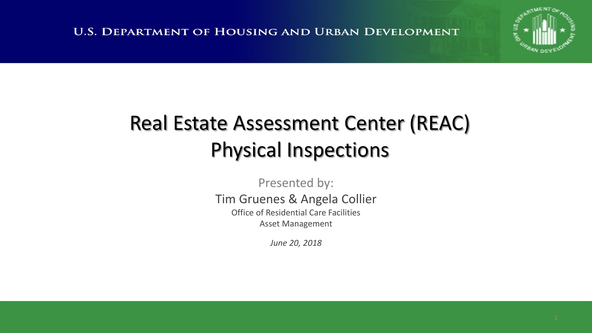

#### Real Estate Assessment Center (REAC) Physical Inspections

Presented by: Tim Gruenes & Angela Collier Office of Residential Care Facilities

Asset Management

*June 20, 2018*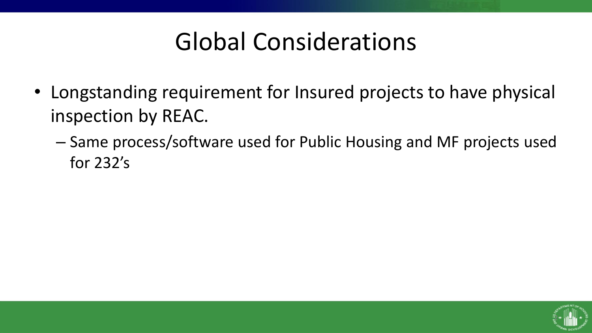### Global Considerations

- Longstanding requirement for Insured projects to have physical inspection by REAC.
	- Same process/software used for Public Housing and MF projects used for 232's

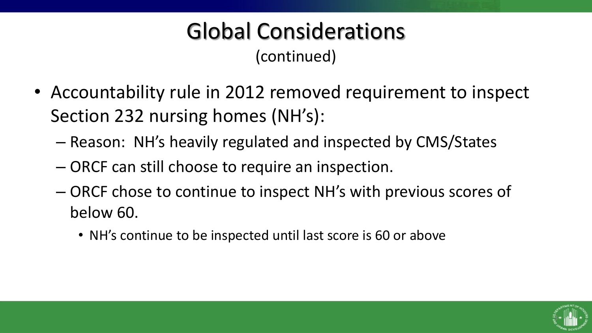#### Global Considerations (continued)

- Accountability rule in 2012 removed requirement to inspect Section 232 nursing homes (NH's):
	- Reason: NH's heavily regulated and inspected by CMS/States
	- ORCF can still choose to require an inspection.
	- ORCF chose to continue to inspect NH's with previous scores of below 60.
		- NH's continue to be inspected until last score is 60 or above

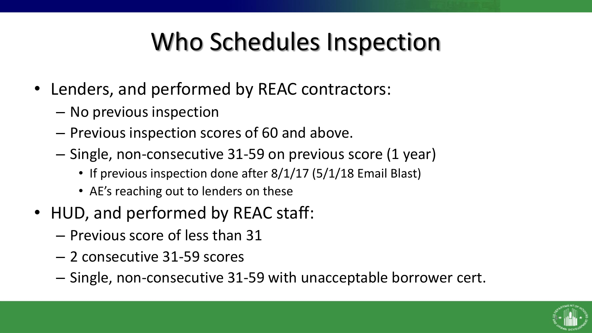# Who Schedules Inspection

- Lenders, and performed by REAC contractors:
	- No previous inspection
	- Previous inspection scores of 60 and above.
	- Single, non-consecutive 31-59 on previous score (1 year)
		- If previous inspection done after 8/1/17 (5/1/18 Email Blast)
		- AE's reaching out to lenders on these
- HUD, and performed by REAC staff:
	- Previous score of less than 31
	- 2 consecutive 31-59 scores
	- Single, non-consecutive 31-59 with unacceptable borrower cert.

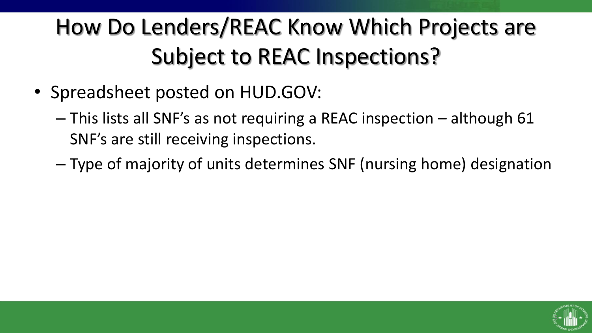### How Do Lenders/REAC Know Which Projects are Subject to REAC Inspections?

- Spreadsheet posted on HUD.GOV:
	- This lists all SNF's as not requiring a REAC inspection although 61 SNF's are still receiving inspections.
	- Type of majority of units determines SNF (nursing home) designation

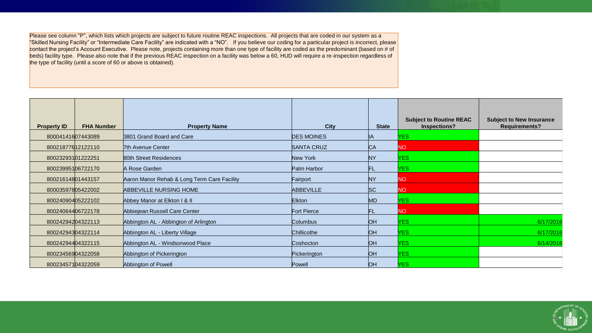Please see column "P", which lists which projects are subject to future routine REAC inspections. All projects that are coded in our system as a "Skilled Nursing Facility" or "Intermediate Care Facility" are indicated with a "NO". If you believe our coding for a particular project is incorrect, please contact the project's Account Executive. Please note, projects containing more than one type of facility are coded as the predominant (based on # of beds) facility type. Please also note that if the previous REAC inspection on a facility was below a 60, HUD will require a re-inspection regardless of the type of facility (until a score of 60 or above is obtained).

| <b>Property ID</b> | <b>FHA Number</b> | <b>Property Name</b>                        | <b>City</b>       | <b>State</b>   | <b>Subject to Routine REAC</b><br>Inspections? | <b>Subject to New Insurance</b><br><b>Requirements?</b> |
|--------------------|-------------------|---------------------------------------------|-------------------|----------------|------------------------------------------------|---------------------------------------------------------|
| 80004141607443089  |                   | 3801 Grand Board and Care                   | <b>DES MOINES</b> | IA.            | <b>YES</b>                                     |                                                         |
| 80021877612122110  |                   | 7th Avenue Center                           | <b>SANTA CRUZ</b> | C <sub>A</sub> | NO.                                            |                                                         |
| 80023293101222251  |                   | 80th Street Residences                      | New York          | <b>NY</b>      | <b>YES</b>                                     |                                                         |
| 80023995106722170  |                   | A Rose Garden                               | Palm Harbor       | FL             | <b>YES</b>                                     |                                                         |
| 80021614801443157  |                   | Aaron Manor Rehab & Long Term Care Facility | Fairport          | <b>NY</b>      | NO.                                            |                                                         |
| 80003597805422002  |                   | <b>ABBEVILLE NURSING HOME</b>               | <b>ABBEVILLE</b>  | SC             | NO.                                            |                                                         |
| 80024090405222102  |                   | Abbey Manor at Elkton I & II                | <b>Elkton</b>     | M <sub>D</sub> | <b>YES</b>                                     |                                                         |
| 80024064406722178  |                   | Abbiejean Russell Care Center               | Fort Pierce       | FL             | NO.                                            |                                                         |
| 80024294204322113  |                   | Abbington AL - Abbington of Arlington       | <b>Columbus</b>   | <b>OH</b>      | <b>YES</b>                                     | 6/17/2016                                               |
| 80024294304322114  |                   | Abbington AL - Liberty Village              | Chillicothe       | <b>OH</b>      | YES.                                           | 6/17/2016                                               |
| 80024294404322115  |                   | Abbington AL - Windsorwood Place            | Coshocton         | <b>OH</b>      | <b>YES</b>                                     | 6/14/2016                                               |
| 80023456904322058  |                   | Abbington of Pickerington                   | Pickerington      | <b>OH</b>      | <b>YES</b>                                     |                                                         |
| 80023457104322059  |                   | Abbington of Powell                         | Powell            | <b>OH</b>      | YES.                                           |                                                         |

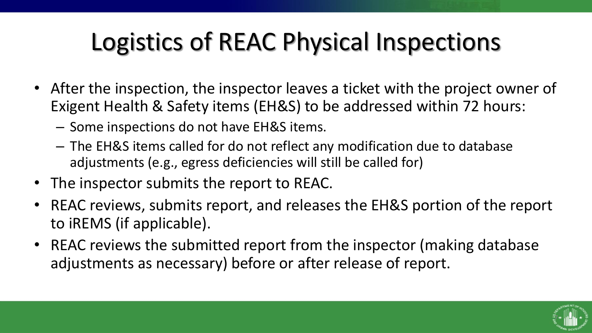# Logistics of REAC Physical Inspections

- After the inspection, the inspector leaves a ticket with the project owner of Exigent Health & Safety items (EH&S) to be addressed within 72 hours:
	- Some inspections do not have EH&S items.
	- The EH&S items called for do not reflect any modification due to database adjustments (e.g., egress deficiencies will still be called for)
- The inspector submits the report to REAC.
- REAC reviews, submits report, and releases the EH&S portion of the report to iREMS (if applicable).
- REAC reviews the submitted report from the inspector (making database adjustments as necessary) before or after release of report.

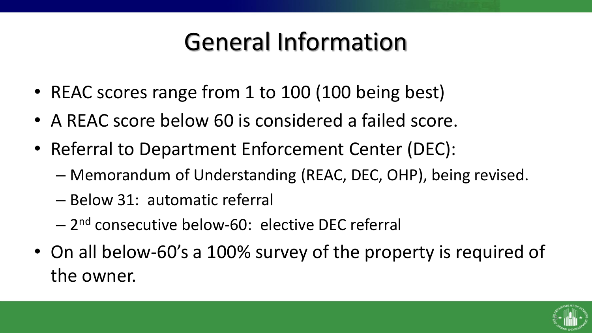# General Information

- REAC scores range from 1 to 100 (100 being best)
- A REAC score below 60 is considered a failed score.
- Referral to Department Enforcement Center (DEC):
	- Memorandum of Understanding (REAC, DEC, OHP), being revised.
	- Below 31: automatic referral
	- 2<sup>nd</sup> consecutive below-60: elective DEC referral
- On all below-60's a 100% survey of the property is required of the owner.

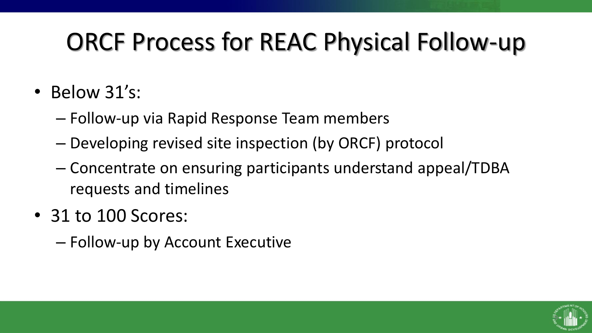# ORCF Process for REAC Physical Follow-up

- Below 31's:
	- Follow-up via Rapid Response Team members
	- Developing revised site inspection (by ORCF) protocol
	- Concentrate on ensuring participants understand appeal/TDBA requests and timelines
- 31 to 100 Scores:
	- Follow-up by Account Executive

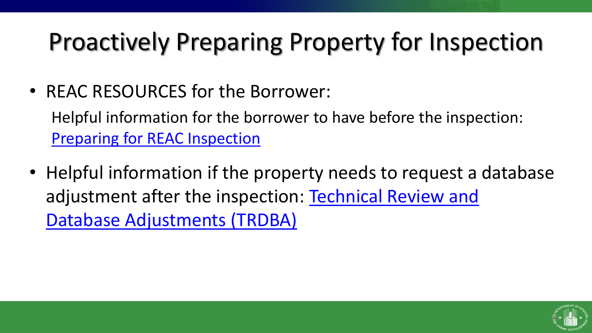# Proactively Preparing Property for Inspection

• REAC RESOURCES for the Borrower:

Helpful information for the borrower to have before the inspection: [Preparing for REAC Inspection](http://portal.hud.gov/hudportal/documents/huddoc?id=Prep4REACInspecR2Oct2016.pdf)

• Helpful information if the property needs to request a database [adjustment after the inspection: Technical Review and](http://portal.hud.gov/hudportal/HUD?src=/program_offices/public_indian_housing/reac/products/pass/pass_guideandrule) Database Adjustments (TRDBA)

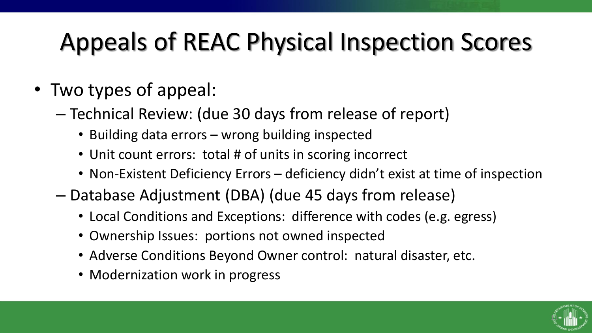# Appeals of REAC Physical Inspection Scores

- Two types of appeal:
	- Technical Review: (due 30 days from release of report)
		- Building data errors wrong building inspected
		- Unit count errors: total # of units in scoring incorrect
		- Non-Existent Deficiency Errors deficiency didn't exist at time of inspection
	- Database Adjustment (DBA) (due 45 days from release)
		- Local Conditions and Exceptions: difference with codes (e.g. egress)
		- Ownership Issues: portions not owned inspected
		- Adverse Conditions Beyond Owner control: natural disaster, etc.
		- Modernization work in progress

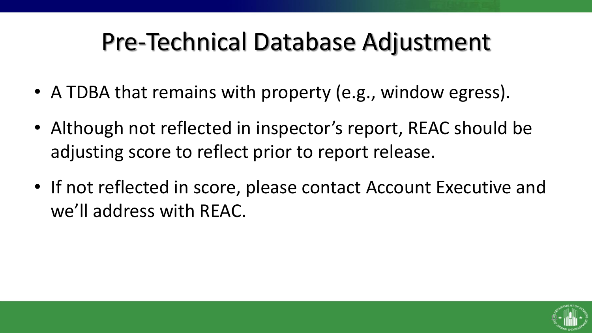### Pre-Technical Database Adjustment

- A TDBA that remains with property (e.g., window egress).
- Although not reflected in inspector's report, REAC should be adjusting score to reflect prior to report release.
- If not reflected in score, please contact Account Executive and we'll address with REAC.